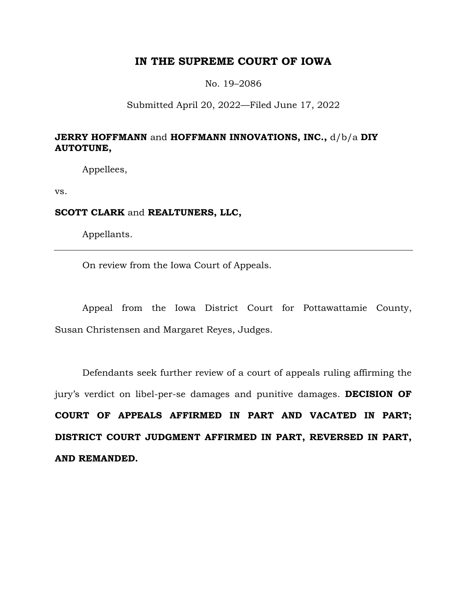## **IN THE SUPREME COURT OF IOWA**

No. 19–2086

## Submitted April 20, 2022—Filed June 17, 2022

## **JERRY HOFFMANN** and **HOFFMANN INNOVATIONS, INC.,** d/b/a **DIY AUTOTUNE,**

Appellees,

vs.

## **SCOTT CLARK** and **REALTUNERS, LLC,**

Appellants.

On review from the Iowa Court of Appeals.

Appeal from the Iowa District Court for Pottawattamie County, Susan Christensen and Margaret Reyes, Judges.

Defendants seek further review of a court of appeals ruling affirming the jury's verdict on libel-per-se damages and punitive damages. **DECISION OF COURT OF APPEALS AFFIRMED IN PART AND VACATED IN PART; DISTRICT COURT JUDGMENT AFFIRMED IN PART, REVERSED IN PART, AND REMANDED.**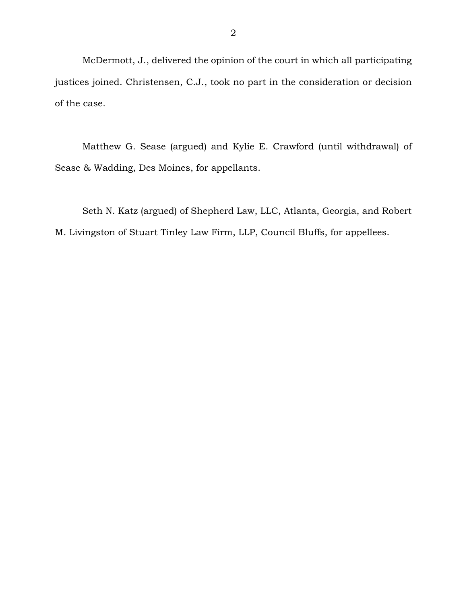McDermott, J., delivered the opinion of the court in which all participating justices joined. Christensen, C.J., took no part in the consideration or decision of the case.

Matthew G. Sease (argued) and Kylie E. Crawford (until withdrawal) of Sease & Wadding, Des Moines, for appellants.

Seth N. Katz (argued) of Shepherd Law, LLC, Atlanta, Georgia, and Robert M. Livingston of Stuart Tinley Law Firm, LLP, Council Bluffs, for appellees.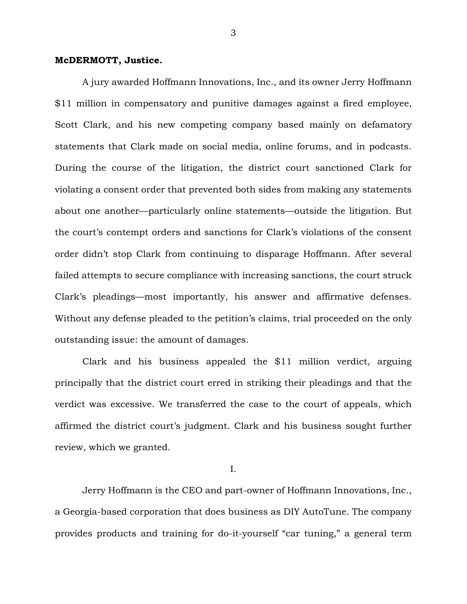#### **McDERMOTT, Justice.**

A jury awarded Hoffmann Innovations, Inc., and its owner Jerry Hoffmann \$11 million in compensatory and punitive damages against a fired employee, Scott Clark, and his new competing company based mainly on defamatory statements that Clark made on social media, online forums, and in podcasts. During the course of the litigation, the district court sanctioned Clark for violating a consent order that prevented both sides from making any statements about one another—particularly online statements—outside the litigation. But the court's contempt orders and sanctions for Clark's violations of the consent order didn't stop Clark from continuing to disparage Hoffmann. After several failed attempts to secure compliance with increasing sanctions, the court struck Clark's pleadings—most importantly, his answer and affirmative defenses. Without any defense pleaded to the petition's claims, trial proceeded on the only outstanding issue: the amount of damages.

Clark and his business appealed the \$11 million verdict, arguing principally that the district court erred in striking their pleadings and that the verdict was excessive. We transferred the case to the court of appeals, which affirmed the district court's judgment. Clark and his business sought further review, which we granted.

I.

Jerry Hoffmann is the CEO and part-owner of Hoffmann Innovations, Inc., a Georgia-based corporation that does business as DIY AutoTune. The company provides products and training for do-it-yourself "car tuning," a general term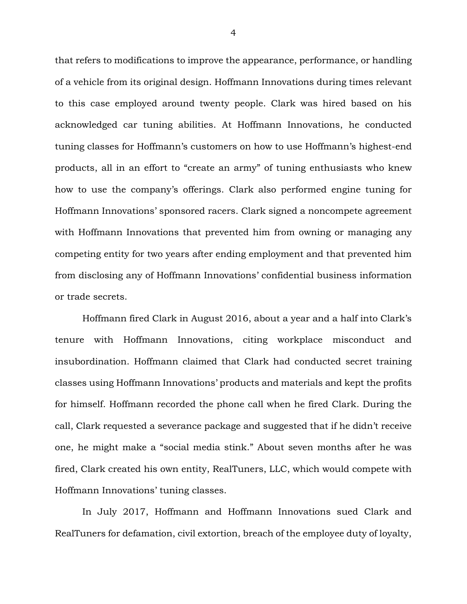that refers to modifications to improve the appearance, performance, or handling of a vehicle from its original design. Hoffmann Innovations during times relevant to this case employed around twenty people. Clark was hired based on his acknowledged car tuning abilities. At Hoffmann Innovations, he conducted tuning classes for Hoffmann's customers on how to use Hoffmann's highest-end products, all in an effort to "create an army" of tuning enthusiasts who knew how to use the company's offerings. Clark also performed engine tuning for Hoffmann Innovations' sponsored racers. Clark signed a noncompete agreement with Hoffmann Innovations that prevented him from owning or managing any competing entity for two years after ending employment and that prevented him from disclosing any of Hoffmann Innovations' confidential business information or trade secrets.

Hoffmann fired Clark in August 2016, about a year and a half into Clark's tenure with Hoffmann Innovations, citing workplace misconduct and insubordination. Hoffmann claimed that Clark had conducted secret training classes using Hoffmann Innovations' products and materials and kept the profits for himself. Hoffmann recorded the phone call when he fired Clark. During the call, Clark requested a severance package and suggested that if he didn't receive one, he might make a "social media stink." About seven months after he was fired, Clark created his own entity, RealTuners, LLC, which would compete with Hoffmann Innovations' tuning classes.

In July 2017, Hoffmann and Hoffmann Innovations sued Clark and RealTuners for defamation, civil extortion, breach of the employee duty of loyalty,

4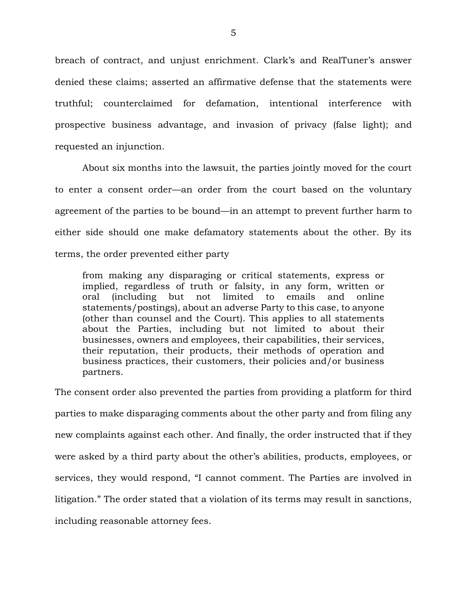breach of contract, and unjust enrichment. Clark's and RealTuner's answer denied these claims; asserted an affirmative defense that the statements were truthful; counterclaimed for defamation, intentional interference with prospective business advantage, and invasion of privacy (false light); and requested an injunction.

About six months into the lawsuit, the parties jointly moved for the court to enter a consent order—an order from the court based on the voluntary agreement of the parties to be bound—in an attempt to prevent further harm to either side should one make defamatory statements about the other. By its terms, the order prevented either party

from making any disparaging or critical statements, express or implied, regardless of truth or falsity, in any form, written or oral (including but not limited to emails and online statements/postings), about an adverse Party to this case, to anyone (other than counsel and the Court). This applies to all statements about the Parties, including but not limited to about their businesses, owners and employees, their capabilities, their services, their reputation, their products, their methods of operation and business practices, their customers, their policies and/or business partners.

The consent order also prevented the parties from providing a platform for third parties to make disparaging comments about the other party and from filing any new complaints against each other. And finally, the order instructed that if they were asked by a third party about the other's abilities, products, employees, or services, they would respond, "I cannot comment. The Parties are involved in litigation." The order stated that a violation of its terms may result in sanctions, including reasonable attorney fees.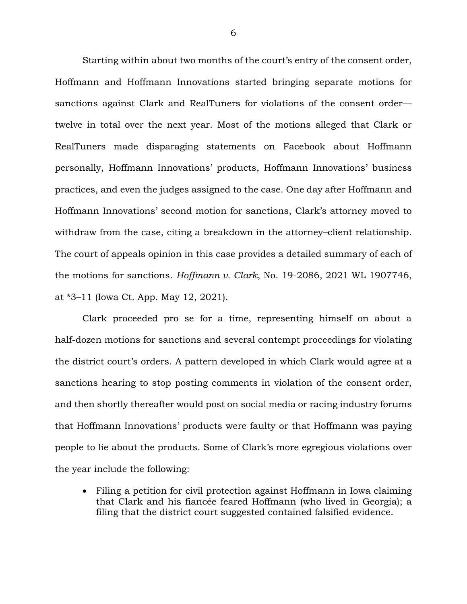Starting within about two months of the court's entry of the consent order, Hoffmann and Hoffmann Innovations started bringing separate motions for sanctions against Clark and RealTuners for violations of the consent order twelve in total over the next year. Most of the motions alleged that Clark or RealTuners made disparaging statements on Facebook about Hoffmann personally, Hoffmann Innovations' products, Hoffmann Innovations' business practices, and even the judges assigned to the case. One day after Hoffmann and Hoffmann Innovations' second motion for sanctions, Clark's attorney moved to withdraw from the case, citing a breakdown in the attorney–client relationship. The court of appeals opinion in this case provides a detailed summary of each of the motions for sanctions. *Hoffmann v. Clark*, No. 19-2086, 2021 WL 1907746, at \*3–11 (Iowa Ct. App. May 12, 2021).

Clark proceeded pro se for a time, representing himself on about a half-dozen motions for sanctions and several contempt proceedings for violating the district court's orders. A pattern developed in which Clark would agree at a sanctions hearing to stop posting comments in violation of the consent order, and then shortly thereafter would post on social media or racing industry forums that Hoffmann Innovations' products were faulty or that Hoffmann was paying people to lie about the products. Some of Clark's more egregious violations over the year include the following:

• Filing a petition for civil protection against Hoffmann in Iowa claiming that Clark and his fiancée feared Hoffmann (who lived in Georgia); a filing that the district court suggested contained falsified evidence.

6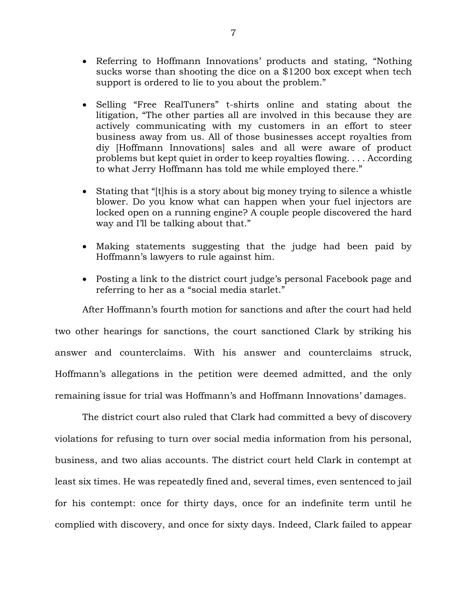- Referring to Hoffmann Innovations' products and stating, "Nothing sucks worse than shooting the dice on a \$1200 box except when tech support is ordered to lie to you about the problem."
- Selling "Free RealTuners" t-shirts online and stating about the litigation, "The other parties all are involved in this because they are actively communicating with my customers in an effort to steer business away from us. All of those businesses accept royalties from diy [Hoffmann Innovations] sales and all were aware of product problems but kept quiet in order to keep royalties flowing. . . . According to what Jerry Hoffmann has told me while employed there."
- Stating that "[t]his is a story about big money trying to silence a whistle blower. Do you know what can happen when your fuel injectors are locked open on a running engine? A couple people discovered the hard way and I'll be talking about that."
- Making statements suggesting that the judge had been paid by Hoffmann's lawyers to rule against him.
- Posting a link to the district court judge's personal Facebook page and referring to her as a "social media starlet."

After Hoffmann's fourth motion for sanctions and after the court had held two other hearings for sanctions, the court sanctioned Clark by striking his answer and counterclaims. With his answer and counterclaims struck, Hoffmann's allegations in the petition were deemed admitted, and the only remaining issue for trial was Hoffmann's and Hoffmann Innovations' damages.

The district court also ruled that Clark had committed a bevy of discovery violations for refusing to turn over social media information from his personal, business, and two alias accounts. The district court held Clark in contempt at least six times. He was repeatedly fined and, several times, even sentenced to jail for his contempt: once for thirty days, once for an indefinite term until he complied with discovery, and once for sixty days. Indeed, Clark failed to appear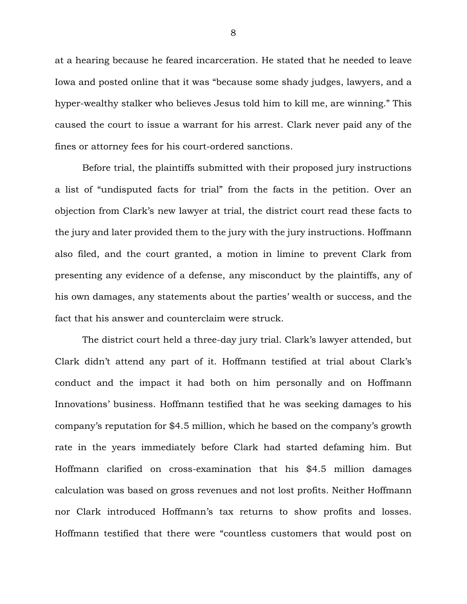at a hearing because he feared incarceration. He stated that he needed to leave Iowa and posted online that it was "because some shady judges, lawyers, and a hyper-wealthy stalker who believes Jesus told him to kill me, are winning." This caused the court to issue a warrant for his arrest. Clark never paid any of the fines or attorney fees for his court-ordered sanctions.

Before trial, the plaintiffs submitted with their proposed jury instructions a list of "undisputed facts for trial" from the facts in the petition. Over an objection from Clark's new lawyer at trial, the district court read these facts to the jury and later provided them to the jury with the jury instructions. Hoffmann also filed, and the court granted, a motion in limine to prevent Clark from presenting any evidence of a defense, any misconduct by the plaintiffs, any of his own damages, any statements about the parties' wealth or success, and the fact that his answer and counterclaim were struck.

The district court held a three-day jury trial. Clark's lawyer attended, but Clark didn't attend any part of it. Hoffmann testified at trial about Clark's conduct and the impact it had both on him personally and on Hoffmann Innovations' business. Hoffmann testified that he was seeking damages to his company's reputation for \$4.5 million, which he based on the company's growth rate in the years immediately before Clark had started defaming him. But Hoffmann clarified on cross-examination that his \$4.5 million damages calculation was based on gross revenues and not lost profits. Neither Hoffmann nor Clark introduced Hoffmann's tax returns to show profits and losses. Hoffmann testified that there were "countless customers that would post on

8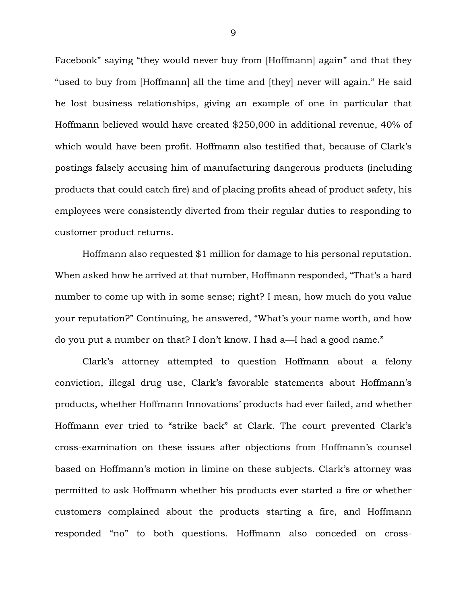Facebook" saying "they would never buy from [Hoffmann] again" and that they "used to buy from [Hoffmann] all the time and [they] never will again." He said he lost business relationships, giving an example of one in particular that Hoffmann believed would have created \$250,000 in additional revenue, 40% of which would have been profit. Hoffmann also testified that, because of Clark's postings falsely accusing him of manufacturing dangerous products (including products that could catch fire) and of placing profits ahead of product safety, his employees were consistently diverted from their regular duties to responding to customer product returns.

Hoffmann also requested \$1 million for damage to his personal reputation. When asked how he arrived at that number, Hoffmann responded, "That's a hard number to come up with in some sense; right? I mean, how much do you value your reputation?" Continuing, he answered, "What's your name worth, and how do you put a number on that? I don't know. I had a—I had a good name."

Clark's attorney attempted to question Hoffmann about a felony conviction, illegal drug use, Clark's favorable statements about Hoffmann's products, whether Hoffmann Innovations' products had ever failed, and whether Hoffmann ever tried to "strike back" at Clark. The court prevented Clark's cross-examination on these issues after objections from Hoffmann's counsel based on Hoffmann's motion in limine on these subjects. Clark's attorney was permitted to ask Hoffmann whether his products ever started a fire or whether customers complained about the products starting a fire, and Hoffmann responded "no" to both questions. Hoffmann also conceded on cross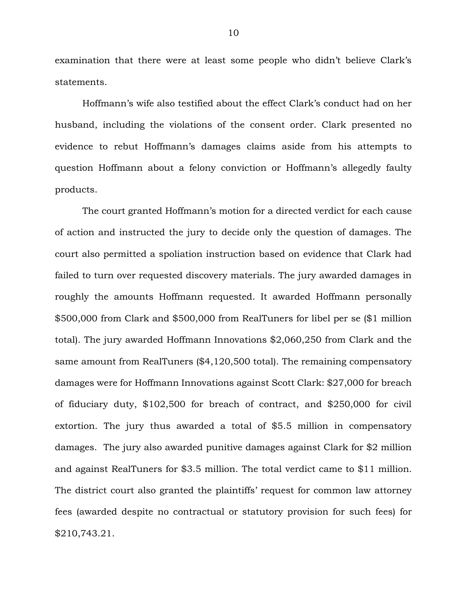examination that there were at least some people who didn't believe Clark's statements.

Hoffmann's wife also testified about the effect Clark's conduct had on her husband, including the violations of the consent order. Clark presented no evidence to rebut Hoffmann's damages claims aside from his attempts to question Hoffmann about a felony conviction or Hoffmann's allegedly faulty products.

The court granted Hoffmann's motion for a directed verdict for each cause of action and instructed the jury to decide only the question of damages. The court also permitted a spoliation instruction based on evidence that Clark had failed to turn over requested discovery materials. The jury awarded damages in roughly the amounts Hoffmann requested. It awarded Hoffmann personally \$500,000 from Clark and \$500,000 from RealTuners for libel per se (\$1 million total). The jury awarded Hoffmann Innovations \$2,060,250 from Clark and the same amount from RealTuners (\$4,120,500 total). The remaining compensatory damages were for Hoffmann Innovations against Scott Clark: \$27,000 for breach of fiduciary duty, \$102,500 for breach of contract, and \$250,000 for civil extortion. The jury thus awarded a total of \$5.5 million in compensatory damages. The jury also awarded punitive damages against Clark for \$2 million and against RealTuners for \$3.5 million. The total verdict came to \$11 million. The district court also granted the plaintiffs' request for common law attorney fees (awarded despite no contractual or statutory provision for such fees) for \$210,743.21.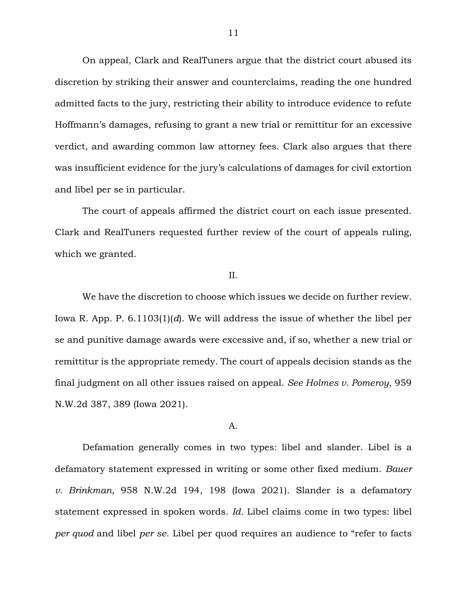On appeal, Clark and RealTuners argue that the district court abused its discretion by striking their answer and counterclaims, reading the one hundred admitted facts to the jury, restricting their ability to introduce evidence to refute Hoffmann's damages, refusing to grant a new trial or remittitur for an excessive verdict, and awarding common law attorney fees. Clark also argues that there was insufficient evidence for the jury's calculations of damages for civil extortion and libel per se in particular.

The court of appeals affirmed the district court on each issue presented. Clark and RealTuners requested further review of the court of appeals ruling, which we granted.

#### II.

We have the discretion to choose which issues we decide on further review. Iowa R. App. P. 6.1103(1)(*d*). We will address the issue of whether the libel per se and punitive damage awards were excessive and, if so, whether a new trial or remittitur is the appropriate remedy. The court of appeals decision stands as the final judgment on all other issues raised on appeal. *See Holmes v. Pomeroy*, 959 N.W.2d 387, 389 (Iowa 2021).

#### A.

Defamation generally comes in two types: libel and slander. Libel is a defamatory statement expressed in writing or some other fixed medium. *Bauer v. Brinkman*, 958 N.W.2d 194, 198 (Iowa 2021). Slander is a defamatory statement expressed in spoken words. *Id.* Libel claims come in two types: libel *per quod* and libel *per se*. Libel per quod requires an audience to "refer to facts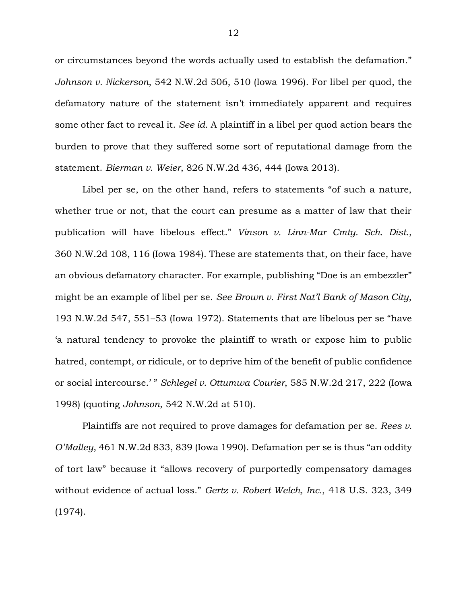or circumstances beyond the words actually used to establish the defamation." *Johnson v. Nickerson*, 542 N.W.2d 506, 510 (Iowa 1996). For libel per quod, the defamatory nature of the statement isn't immediately apparent and requires some other fact to reveal it. *See id.* A plaintiff in a libel per quod action bears the burden to prove that they suffered some sort of reputational damage from the statement. *Bierman v. Weier*, 826 N.W.2d 436, 444 (Iowa 2013).

Libel per se, on the other hand, refers to statements "of such a nature, whether true or not, that the court can presume as a matter of law that their publication will have libelous effect." *Vinson v. Linn-Mar Cmty. Sch. Dist.*, 360 N.W.2d 108, 116 (Iowa 1984). These are statements that, on their face, have an obvious defamatory character. For example, publishing "Doe is an embezzler" might be an example of libel per se. *See Brown v. First Nat'l Bank of Mason City*, 193 N.W.2d 547, 551–53 (Iowa 1972). Statements that are libelous per se "have 'a natural tendency to provoke the plaintiff to wrath or expose him to public hatred, contempt, or ridicule, or to deprive him of the benefit of public confidence or social intercourse.' " *Schlegel v. Ottumwa Courier*, 585 N.W.2d 217, 222 (Iowa 1998) (quoting *Johnson*, 542 N.W.2d at 510).

Plaintiffs are not required to prove damages for defamation per se. *Rees v. O'Malley*, 461 N.W.2d 833, 839 (Iowa 1990). Defamation per se is thus "an oddity of tort law" because it "allows recovery of purportedly compensatory damages without evidence of actual loss." *Gertz v. Robert Welch, Inc.*, 418 U.S. 323, 349 (1974).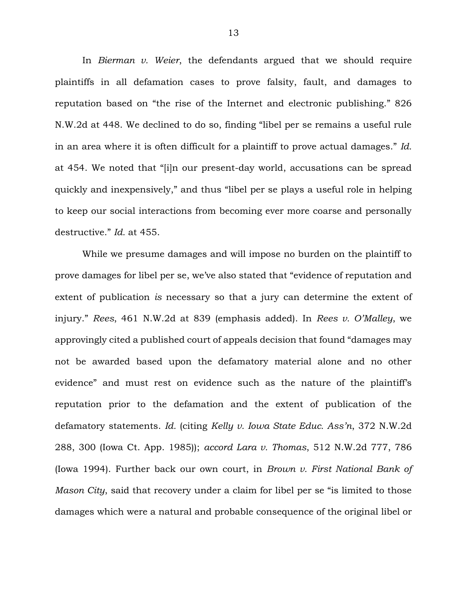In *Bierman v. Weier*, the defendants argued that we should require plaintiffs in all defamation cases to prove falsity, fault, and damages to reputation based on "the rise of the Internet and electronic publishing." 826 N.W.2d at 448. We declined to do so, finding "libel per se remains a useful rule in an area where it is often difficult for a plaintiff to prove actual damages." *Id.* at 454. We noted that "[i]n our present-day world, accusations can be spread quickly and inexpensively," and thus "libel per se plays a useful role in helping to keep our social interactions from becoming ever more coarse and personally destructive." *Id.* at 455.

While we presume damages and will impose no burden on the plaintiff to prove damages for libel per se, we've also stated that "evidence of reputation and extent of publication *is* necessary so that a jury can determine the extent of injury." *Rees*, 461 N.W.2d at 839 (emphasis added). In *Rees v. O'Malley*, we approvingly cited a published court of appeals decision that found "damages may not be awarded based upon the defamatory material alone and no other evidence" and must rest on evidence such as the nature of the plaintiff's reputation prior to the defamation and the extent of publication of the defamatory statements. *Id.* (citing *Kelly v. Iowa State Educ. Ass'n*, 372 N.W.2d 288, 300 (Iowa Ct. App. 1985)); *accord Lara v. Thomas*, 512 N.W.2d 777, 786 (Iowa 1994). Further back our own court, in *Brown v. First National Bank of Mason City*, said that recovery under a claim for libel per se "is limited to those damages which were a natural and probable consequence of the original libel or

13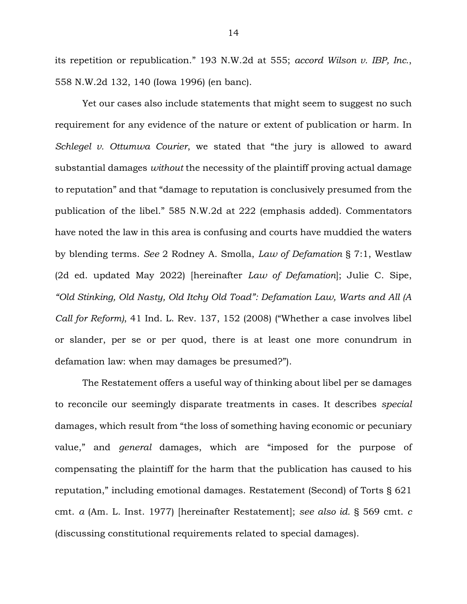its repetition or republication." 193 N.W.2d at 555; *accord Wilson v. IBP, Inc.*, 558 N.W.2d 132, 140 (Iowa 1996) (en banc).

Yet our cases also include statements that might seem to suggest no such requirement for any evidence of the nature or extent of publication or harm. In *Schlegel v. Ottumwa Courier*, we stated that "the jury is allowed to award substantial damages *without* the necessity of the plaintiff proving actual damage to reputation" and that "damage to reputation is conclusively presumed from the publication of the libel." 585 N.W.2d at 222 (emphasis added). Commentators have noted the law in this area is confusing and courts have muddied the waters by blending terms. *See* 2 Rodney A. Smolla, *Law of Defamation* § 7:1, Westlaw (2d ed. updated May 2022) [hereinafter *Law of Defamation*]; Julie C. Sipe, *"Old Stinking, Old Nasty, Old Itchy Old Toad": Defamation Law, Warts and All (A Call for Reform)*, 41 Ind. L. Rev. 137, 152 (2008) ("Whether a case involves libel or slander, per se or per quod, there is at least one more conundrum in defamation law: when may damages be presumed?").

The Restatement offers a useful way of thinking about libel per se damages to reconcile our seemingly disparate treatments in cases. It describes *special* damages, which result from "the loss of something having economic or pecuniary value," and *general* damages, which are "imposed for the purpose of compensating the plaintiff for the harm that the publication has caused to his reputation," including emotional damages. Restatement (Second) of Torts § 621 cmt. *a* (Am. L. Inst. 1977) [hereinafter Restatement]; *see also id.* § 569 cmt. *c* (discussing constitutional requirements related to special damages).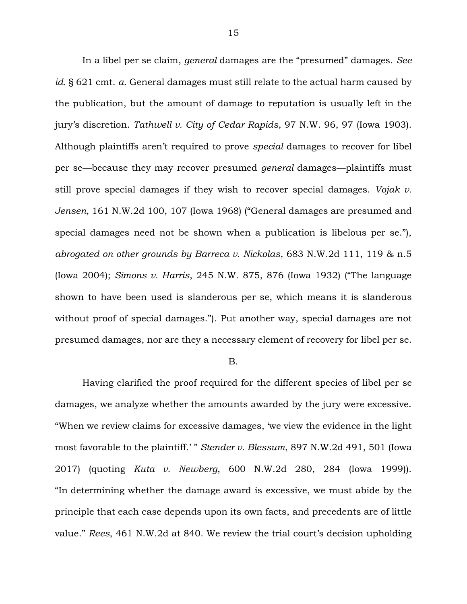In a libel per se claim, *general* damages are the "presumed" damages. *See id.* § 621 cmt. *a*. General damages must still relate to the actual harm caused by the publication, but the amount of damage to reputation is usually left in the jury's discretion. *Tathwell v. City of Cedar Rapids*, 97 N.W. 96, 97 (Iowa 1903). Although plaintiffs aren't required to prove *special* damages to recover for libel per se—because they may recover presumed *general* damages—plaintiffs must still prove special damages if they wish to recover special damages. *Vojak v. Jensen*, 161 N.W.2d 100, 107 (Iowa 1968) ("General damages are presumed and special damages need not be shown when a publication is libelous per se."), *abrogated on other grounds by Barreca v. Nickolas*, 683 N.W.2d 111, 119 & n.5 (Iowa 2004); *Simons v. Harris*, 245 N.W. 875, 876 (Iowa 1932) ("The language shown to have been used is slanderous per se, which means it is slanderous without proof of special damages."). Put another way, special damages are not presumed damages, nor are they a necessary element of recovery for libel per se.

#### B.

Having clarified the proof required for the different species of libel per se damages, we analyze whether the amounts awarded by the jury were excessive. "When we review claims for excessive damages, 'we view the evidence in the light most favorable to the plaintiff.' " *Stender v. Blessum*, 897 N.W.2d 491, 501 (Iowa 2017) (quoting *Kuta v. Newberg*, 600 N.W.2d 280, 284 (Iowa 1999)). "In determining whether the damage award is excessive, we must abide by the principle that each case depends upon its own facts, and precedents are of little value." *Rees*, 461 N.W.2d at 840. We review the trial court's decision upholding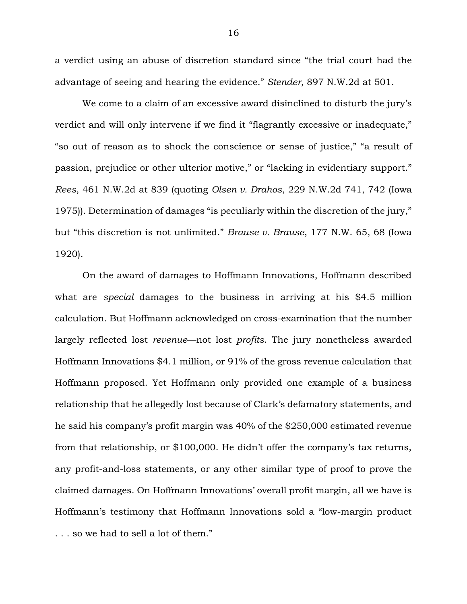a verdict using an abuse of discretion standard since "the trial court had the advantage of seeing and hearing the evidence." *Stender*, 897 N.W.2d at 501.

We come to a claim of an excessive award disinclined to disturb the jury's verdict and will only intervene if we find it "flagrantly excessive or inadequate," "so out of reason as to shock the conscience or sense of justice," "a result of passion, prejudice or other ulterior motive," or "lacking in evidentiary support." *Rees*, 461 N.W.2d at 839 (quoting *Olsen v. Drahos*, 229 N.W.2d 741, 742 (Iowa 1975)). Determination of damages "is peculiarly within the discretion of the jury," but "this discretion is not unlimited." *Brause v. Brause*, 177 N.W. 65, 68 (Iowa 1920).

On the award of damages to Hoffmann Innovations, Hoffmann described what are *special* damages to the business in arriving at his \$4.5 million calculation. But Hoffmann acknowledged on cross-examination that the number largely reflected lost *revenue*—not lost *profits*. The jury nonetheless awarded Hoffmann Innovations \$4.1 million, or 91% of the gross revenue calculation that Hoffmann proposed. Yet Hoffmann only provided one example of a business relationship that he allegedly lost because of Clark's defamatory statements, and he said his company's profit margin was 40% of the \$250,000 estimated revenue from that relationship, or \$100,000. He didn't offer the company's tax returns, any profit-and-loss statements, or any other similar type of proof to prove the claimed damages. On Hoffmann Innovations' overall profit margin, all we have is Hoffmann's testimony that Hoffmann Innovations sold a "low-margin product . . . so we had to sell a lot of them."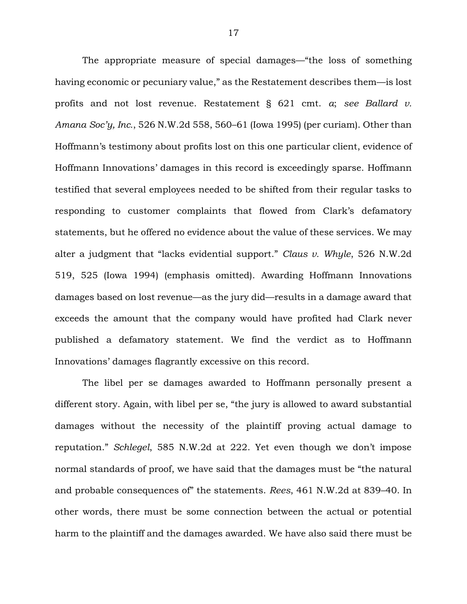The appropriate measure of special damages—"the loss of something having economic or pecuniary value," as the Restatement describes them—is lost profits and not lost revenue. Restatement § 621 cmt. *a*; *see Ballard v. Amana Soc'y, Inc.*, 526 N.W.2d 558, 560–61 (Iowa 1995) (per curiam). Other than Hoffmann's testimony about profits lost on this one particular client, evidence of Hoffmann Innovations' damages in this record is exceedingly sparse. Hoffmann testified that several employees needed to be shifted from their regular tasks to responding to customer complaints that flowed from Clark's defamatory statements, but he offered no evidence about the value of these services. We may alter a judgment that "lacks evidential support." *Claus v. Whyle*, 526 N.W.2d 519, 525 (Iowa 1994) (emphasis omitted). Awarding Hoffmann Innovations damages based on lost revenue—as the jury did—results in a damage award that exceeds the amount that the company would have profited had Clark never published a defamatory statement. We find the verdict as to Hoffmann Innovations' damages flagrantly excessive on this record.

The libel per se damages awarded to Hoffmann personally present a different story. Again, with libel per se, "the jury is allowed to award substantial damages without the necessity of the plaintiff proving actual damage to reputation." *Schlegel*, 585 N.W.2d at 222. Yet even though we don't impose normal standards of proof, we have said that the damages must be "the natural and probable consequences of" the statements. *Rees*, 461 N.W.2d at 839–40. In other words, there must be some connection between the actual or potential harm to the plaintiff and the damages awarded. We have also said there must be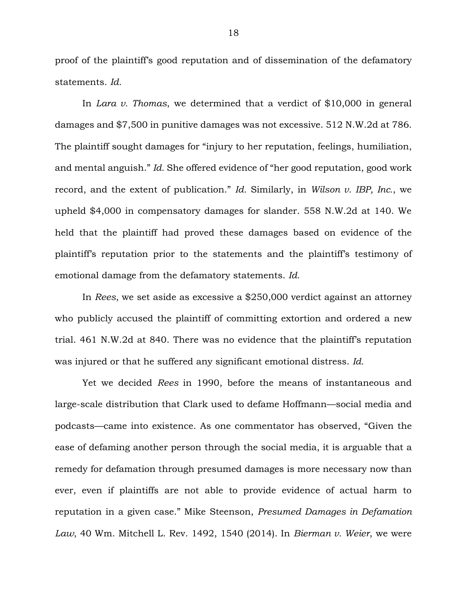proof of the plaintiff's good reputation and of dissemination of the defamatory statements. *Id.*

In *Lara v. Thomas*, we determined that a verdict of \$10,000 in general damages and \$7,500 in punitive damages was not excessive. 512 N.W.2d at 786. The plaintiff sought damages for "injury to her reputation, feelings, humiliation, and mental anguish." *Id.* She offered evidence of "her good reputation, good work record, and the extent of publication." *Id.* Similarly, in *Wilson v. IBP, Inc.*, we upheld \$4,000 in compensatory damages for slander. 558 N.W.2d at 140. We held that the plaintiff had proved these damages based on evidence of the plaintiff's reputation prior to the statements and the plaintiff's testimony of emotional damage from the defamatory statements. *Id.*

In *Rees*, we set aside as excessive a \$250,000 verdict against an attorney who publicly accused the plaintiff of committing extortion and ordered a new trial. 461 N.W.2d at 840. There was no evidence that the plaintiff's reputation was injured or that he suffered any significant emotional distress. *Id.*

Yet we decided *Rees* in 1990, before the means of instantaneous and large-scale distribution that Clark used to defame Hoffmann—social media and podcasts—came into existence. As one commentator has observed, "Given the ease of defaming another person through the social media, it is arguable that a remedy for defamation through presumed damages is more necessary now than ever, even if plaintiffs are not able to provide evidence of actual harm to reputation in a given case." Mike Steenson, *Presumed Damages in Defamation Law*, 40 Wm. Mitchell L. Rev. 1492, 1540 (2014). In *Bierman v. Weier*, we were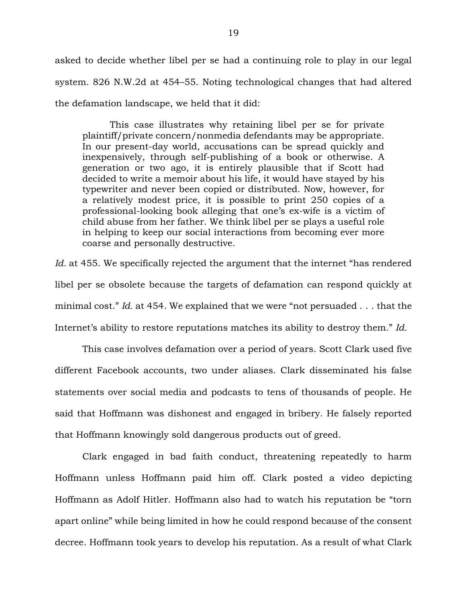asked to decide whether libel per se had a continuing role to play in our legal system. 826 N.W.2d at 454–55. Noting technological changes that had altered the defamation landscape, we held that it did:

This case illustrates why retaining libel per se for private plaintiff/private concern/nonmedia defendants may be appropriate. In our present-day world, accusations can be spread quickly and inexpensively, through self-publishing of a book or otherwise. A generation or two ago, it is entirely plausible that if Scott had decided to write a memoir about his life, it would have stayed by his typewriter and never been copied or distributed. Now, however, for a relatively modest price, it is possible to print 250 copies of a professional-looking book alleging that one's ex-wife is a victim of child abuse from her father. We think libel per se plays a useful role in helping to keep our social interactions from becoming ever more coarse and personally destructive.

Id. at 455. We specifically rejected the argument that the internet "has rendered libel per se obsolete because the targets of defamation can respond quickly at minimal cost." *Id.* at 454. We explained that we were "not persuaded . . . that the Internet's ability to restore reputations matches its ability to destroy them." *Id.*

This case involves defamation over a period of years. Scott Clark used five different Facebook accounts, two under aliases. Clark disseminated his false statements over social media and podcasts to tens of thousands of people. He said that Hoffmann was dishonest and engaged in bribery. He falsely reported that Hoffmann knowingly sold dangerous products out of greed.

Clark engaged in bad faith conduct, threatening repeatedly to harm Hoffmann unless Hoffmann paid him off. Clark posted a video depicting Hoffmann as Adolf Hitler. Hoffmann also had to watch his reputation be "torn apart online" while being limited in how he could respond because of the consent decree. Hoffmann took years to develop his reputation. As a result of what Clark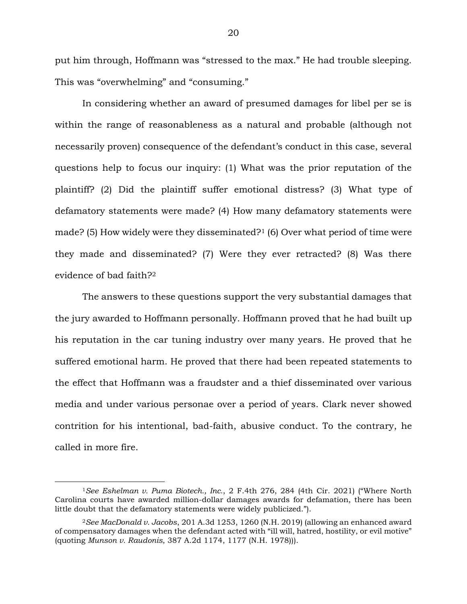put him through, Hoffmann was "stressed to the max." He had trouble sleeping. This was "overwhelming" and "consuming."

In considering whether an award of presumed damages for libel per se is within the range of reasonableness as a natural and probable (although not necessarily proven) consequence of the defendant's conduct in this case, several questions help to focus our inquiry: (1) What was the prior reputation of the plaintiff? (2) Did the plaintiff suffer emotional distress? (3) What type of defamatory statements were made? (4) How many defamatory statements were made? (5) How widely were they disseminated?<sup>1</sup> (6) Over what period of time were they made and disseminated? (7) Were they ever retracted? (8) Was there evidence of bad faith?<sup>2</sup>

The answers to these questions support the very substantial damages that the jury awarded to Hoffmann personally. Hoffmann proved that he had built up his reputation in the car tuning industry over many years. He proved that he suffered emotional harm. He proved that there had been repeated statements to the effect that Hoffmann was a fraudster and a thief disseminated over various media and under various personae over a period of years. Clark never showed contrition for his intentional, bad-faith, abusive conduct. To the contrary, he called in more fire.

<sup>1</sup>*See Eshelman v. Puma Biotech., Inc.*, 2 F.4th 276, 284 (4th Cir. 2021) ("Where North Carolina courts have awarded million-dollar damages awards for defamation, there has been little doubt that the defamatory statements were widely publicized.").

<sup>2</sup>*See MacDonald v. Jacobs*, 201 A.3d 1253, 1260 (N.H. 2019) (allowing an enhanced award of compensatory damages when the defendant acted with "ill will, hatred, hostility, or evil motive" (quoting *Munson v. Raudonis*, 387 A.2d 1174, 1177 (N.H. 1978))).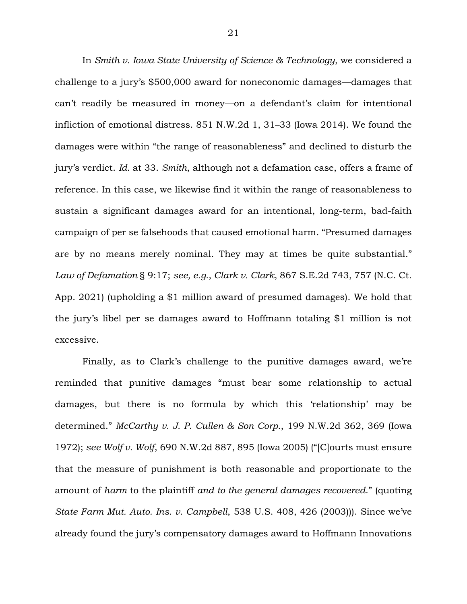In *Smith v. Iowa State University of Science & Technology*, we considered a challenge to a jury's \$500,000 award for noneconomic damages—damages that can't readily be measured in money—on a defendant's claim for intentional infliction of emotional distress. 851 N.W.2d 1, 31–33 (Iowa 2014). We found the damages were within "the range of reasonableness" and declined to disturb the jury's verdict. *Id.* at 33. *Smith*, although not a defamation case, offers a frame of reference. In this case, we likewise find it within the range of reasonableness to sustain a significant damages award for an intentional, long-term, bad-faith campaign of per se falsehoods that caused emotional harm. "Presumed damages are by no means merely nominal. They may at times be quite substantial." *Law of Defamation* § 9:17; *see, e.g.*, *Clark v. Clark*, 867 S.E.2d 743, 757 (N.C. Ct. App. 2021) (upholding a \$1 million award of presumed damages). We hold that the jury's libel per se damages award to Hoffmann totaling \$1 million is not excessive.

Finally, as to Clark's challenge to the punitive damages award, we're reminded that punitive damages "must bear some relationship to actual damages, but there is no formula by which this 'relationship' may be determined." *McCarthy v. J. P. Cullen & Son Corp.*, 199 N.W.2d 362, 369 (Iowa 1972); *see Wolf v. Wolf*, 690 N.W.2d 887, 895 (Iowa 2005) ("[C]ourts must ensure that the measure of punishment is both reasonable and proportionate to the amount of *harm* to the plaintiff *and to the general damages recovered*." (quoting *State Farm Mut. Auto. Ins. v. Campbell*, 538 U.S. 408, 426 (2003))). Since we've already found the jury's compensatory damages award to Hoffmann Innovations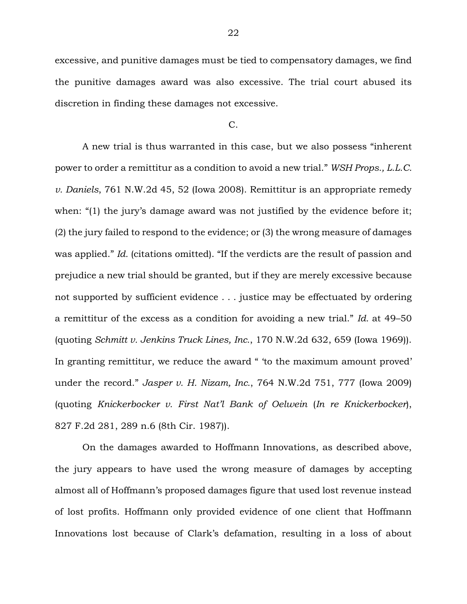excessive, and punitive damages must be tied to compensatory damages, we find the punitive damages award was also excessive. The trial court abused its discretion in finding these damages not excessive.

#### C.

A new trial is thus warranted in this case, but we also possess "inherent power to order a remittitur as a condition to avoid a new trial." *WSH Props., L.L.C. v. Daniels*, 761 N.W.2d 45, 52 (Iowa 2008). Remittitur is an appropriate remedy when: "(1) the jury's damage award was not justified by the evidence before it; (2) the jury failed to respond to the evidence; or (3) the wrong measure of damages was applied." *Id.* (citations omitted). "If the verdicts are the result of passion and prejudice a new trial should be granted, but if they are merely excessive because not supported by sufficient evidence . . . justice may be effectuated by ordering a remittitur of the excess as a condition for avoiding a new trial." *Id.* at 49–50 (quoting *Schmitt v. Jenkins Truck Lines, Inc.*, 170 N.W.2d 632, 659 (Iowa 1969)). In granting remittitur, we reduce the award " 'to the maximum amount proved' under the record." *Jasper v. H. Nizam, Inc.*, 764 N.W.2d 751, 777 (Iowa 2009) (quoting *Knickerbocker v. First Nat'l Bank of Oelwein* (*In re Knickerbocker*), 827 F.2d 281, 289 n.6 (8th Cir. 1987)).

On the damages awarded to Hoffmann Innovations, as described above, the jury appears to have used the wrong measure of damages by accepting almost all of Hoffmann's proposed damages figure that used lost revenue instead of lost profits. Hoffmann only provided evidence of one client that Hoffmann Innovations lost because of Clark's defamation, resulting in a loss of about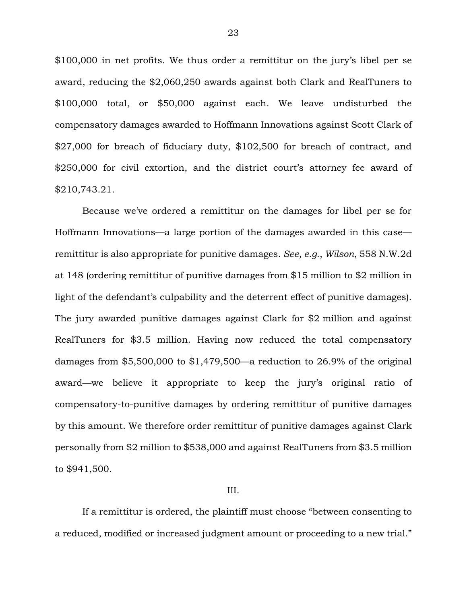\$100,000 in net profits. We thus order a remittitur on the jury's libel per se award, reducing the \$2,060,250 awards against both Clark and RealTuners to \$100,000 total, or \$50,000 against each. We leave undisturbed the compensatory damages awarded to Hoffmann Innovations against Scott Clark of \$27,000 for breach of fiduciary duty, \$102,500 for breach of contract, and \$250,000 for civil extortion, and the district court's attorney fee award of \$210,743.21.

Because we've ordered a remittitur on the damages for libel per se for Hoffmann Innovations—a large portion of the damages awarded in this case remittitur is also appropriate for punitive damages. *See, e.g.*, *Wilson*, 558 N.W.2d at 148 (ordering remittitur of punitive damages from \$15 million to \$2 million in light of the defendant's culpability and the deterrent effect of punitive damages). The jury awarded punitive damages against Clark for \$2 million and against RealTuners for \$3.5 million. Having now reduced the total compensatory damages from \$5,500,000 to \$1,479,500—a reduction to 26.9% of the original award—we believe it appropriate to keep the jury's original ratio of compensatory-to-punitive damages by ordering remittitur of punitive damages by this amount. We therefore order remittitur of punitive damages against Clark personally from \$2 million to \$538,000 and against RealTuners from \$3.5 million to \$941,500.

### III.

If a remittitur is ordered, the plaintiff must choose "between consenting to a reduced, modified or increased judgment amount or proceeding to a new trial."